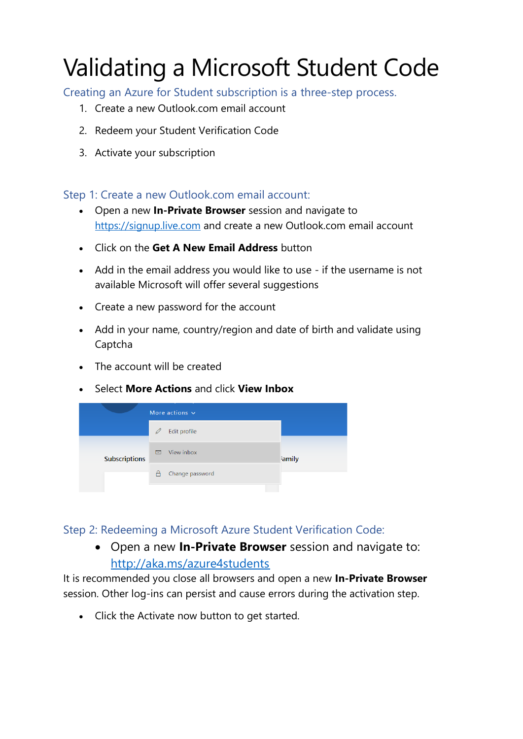# Validating a Microsoft Student Code

Creating an Azure for Student subscription is a three-step process.

- 1. Create a new Outlook.com email account
- 2. Redeem your Student Verification Code
- 3. Activate your subscription

# Step 1: Create a new Outlook.com email account:

- Open a new **In-Private Browser** session and navigate to [https://signup.live.com](https://signup.live.com/) and create a new Outlook.com email account
- Click on the **Get A New Email Address** button
- Add in the email address you would like to use if the username is not available Microsoft will offer several suggestions
- Create a new password for the account
- Add in your name, country/region and date of birth and validate using Captcha
- The account will be created
- Select **More Actions** and click **View Inbox**



# Step 2: Redeeming a Microsoft Azure Student Verification Code:

• Open a new **In-Private Browser** session and navigate to: <http://aka.ms/azure4students>

It is recommended you close all browsers and open a new **In-Private Browser** session. Other log-ins can persist and cause errors during the activation step.

• Click the Activate now button to get started.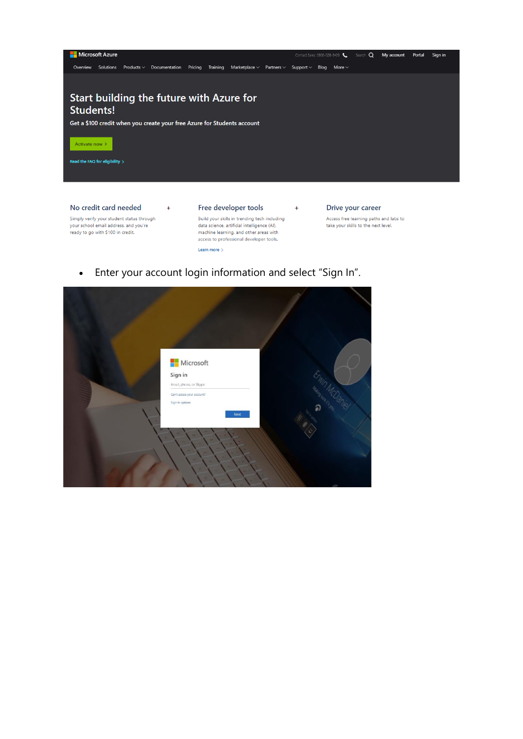

 $+$ 

Simply verify your student status through your school email address, and you're ready to go with \$100 in credit.

 $+$ 

#### Free developer tools

Build your skills in trending tech including data science, artificial intelligence (AI), machine learning, and other areas with<br>access to professional developer tools. Learn more >

#### Drive your career

Access free learning paths and labs to take your skills to the next level.

Enter your account login information and select "Sign In".  $\bullet$ 

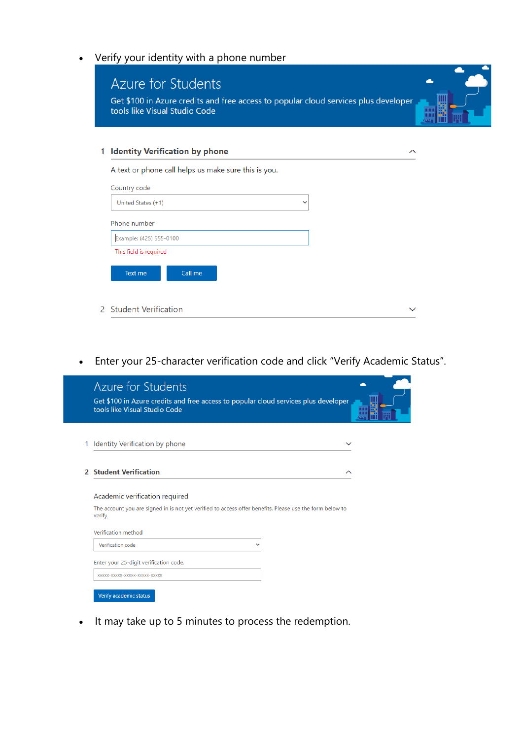• Verify your identity with a phone number

| tools like Visual Studio Code                        |                    |
|------------------------------------------------------|--------------------|
| <b>Identity Verification by phone</b>                | $\curvearrowright$ |
| A text or phone call helps us make sure this is you. |                    |
| Country code                                         |                    |
| United States (+1)<br>$\checkmark$                   |                    |
| Phone number                                         |                    |
| Example: (425) 555-0100                              |                    |
| This field is required                               |                    |

• Enter your 25-character verification code and click "Verify Academic Status".

|               | Azure for Students<br>Get \$100 in Azure credits and free access to popular cloud services plus developer<br>tools like Visual Studio Code            |  |
|---------------|-------------------------------------------------------------------------------------------------------------------------------------------------------|--|
| 1             | Identity Verification by phone<br>$\check{ }$                                                                                                         |  |
| $\mathcal{P}$ | <b>Student Verification</b><br>ᄉ                                                                                                                      |  |
|               | Academic verification required<br>The account you are signed in is not yet verified to access offer benefits. Please use the form below to<br>verify. |  |
|               | Verification method<br>Verification code<br>$\checkmark$                                                                                              |  |
|               | Enter your 25-digit verification code.                                                                                                                |  |
|               | XXXXX-XXXXX-XXXXXX-XXXXXX-XXXXX<br>Verify academic status                                                                                             |  |

• It may take up to 5 minutes to process the redemption.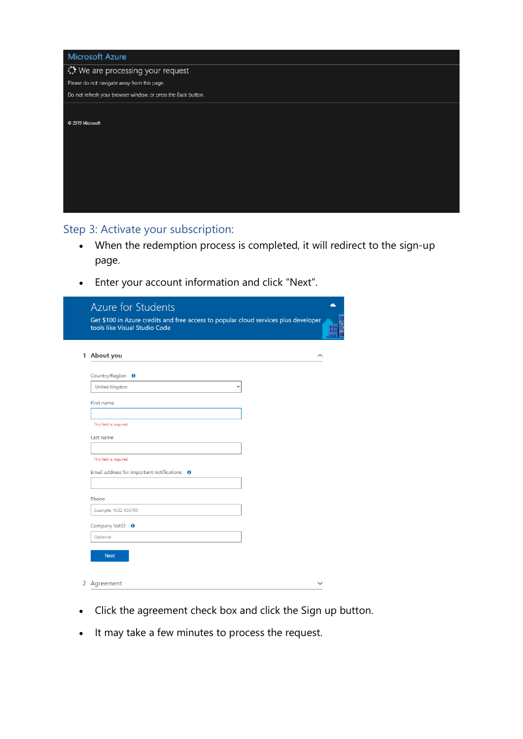| <b>Microsoft Azure</b>                                        |
|---------------------------------------------------------------|
| We are processing your request                                |
| Please do not navigate away from this page.                   |
| Do not refresh your browser window, or press the Back button. |
|                                                               |
| C 2019 Microsoft                                              |
|                                                               |
|                                                               |
|                                                               |
|                                                               |
|                                                               |
|                                                               |
|                                                               |
|                                                               |

# Step 3: Activate your subscription:

- When the redemption process is completed, it will redirect to the sign-up page.
- Enter your account information and click "Next".

| <b>Azure for Students</b><br>Get \$100 in Azure credits and free access to popular cloud services plus developer<br>tools like Visual Studio Code |  |
|---------------------------------------------------------------------------------------------------------------------------------------------------|--|
| 1 About you<br>ᄉ                                                                                                                                  |  |
| Country/Region <b>O</b>                                                                                                                           |  |
| <b>United Kingdom</b>                                                                                                                             |  |
| First name                                                                                                                                        |  |
| This field is required                                                                                                                            |  |
| Last name                                                                                                                                         |  |
| This field is required                                                                                                                            |  |
| Email address for important notifications $\theta$                                                                                                |  |
|                                                                                                                                                   |  |
| Phone                                                                                                                                             |  |
| Example: 1632 456789                                                                                                                              |  |
| Company VatID <b>O</b>                                                                                                                            |  |
| Optional                                                                                                                                          |  |
| <b>Next</b>                                                                                                                                       |  |
| 2 Agreement                                                                                                                                       |  |

- Click the agreement check box and click the Sign up button.
- It may take a few minutes to process the request.